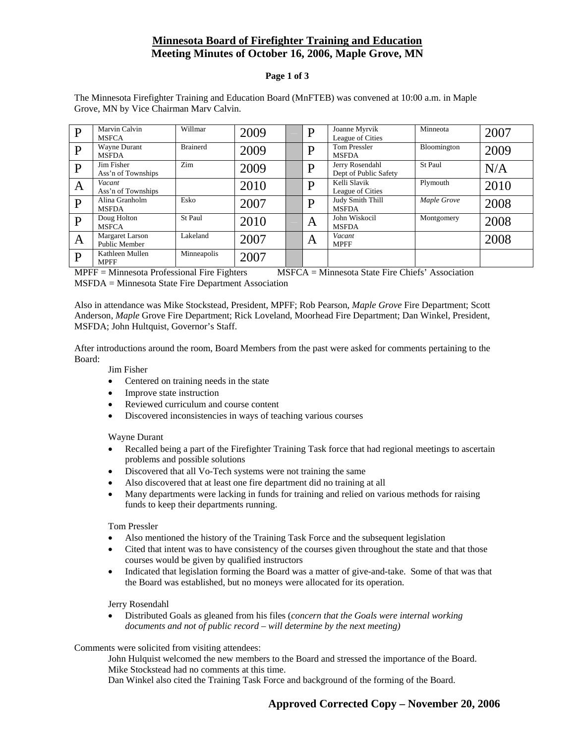# **Minnesota Board of Firefighter Training and Education Meeting Minutes of October 16, 2006, Maple Grove, MN**

### **Page 1 of 3**

| D | Marvin Calvin<br><b>MSFCA</b>           | Willmar         | 2009 | D | Joanne Myrvik<br>League of Cities        | Minneota    | 2007 |
|---|-----------------------------------------|-----------------|------|---|------------------------------------------|-------------|------|
| D | Wayne Durant<br><b>MSFDA</b>            | <b>Brainerd</b> | 2009 | D | <b>Tom Pressler</b><br><b>MSFDA</b>      | Bloomington | 2009 |
| D | Jim Fisher<br>Ass'n of Townships        | Zim             | 2009 | D | Jerry Rosendahl<br>Dept of Public Safety | St Paul     | N/A  |
| A | Vacant<br>Ass'n of Townships            |                 | 2010 | D | Kelli Slavik<br>League of Cities         | Plymouth    | 2010 |
| D | Alina Granholm<br><b>MSFDA</b>          | Esko            | 2007 | D | Judy Smith Thill<br><b>MSFDA</b>         | Maple Grove | 2008 |
| D | Doug Holton<br><b>MSFCA</b>             | St Paul         | 2010 | A | John Wiskocil<br><b>MSFDA</b>            | Montgomery  | 2008 |
| A | <b>Margaret Larson</b><br>Public Member | Lakeland        | 2007 | A | Vacant<br><b>MPFF</b>                    |             | 2008 |
| D | Kathleen Mullen<br><b>MPFF</b>          | Minneapolis     | 2007 |   |                                          |             |      |

The Minnesota Firefighter Training and Education Board (MnFTEB) was convened at 10:00 a.m. in Maple Grove, MN by Vice Chairman Marv Calvin.

MPFF = Minnesota Professional Fire Fighters MSFCA = Minnesota State Fire Chiefs' Association MSFDA = Minnesota State Fire Department Association

Also in attendance was Mike Stockstead, President, MPFF; Rob Pearson, *Maple Grove* Fire Department; Scott Anderson, *Maple* Grove Fire Department; Rick Loveland, Moorhead Fire Department; Dan Winkel, President, MSFDA; John Hultquist, Governor's Staff.

After introductions around the room, Board Members from the past were asked for comments pertaining to the Board:

Jim Fisher

- Centered on training needs in the state
- Improve state instruction
- Reviewed curriculum and course content
- Discovered inconsistencies in ways of teaching various courses

Wayne Durant

- Recalled being a part of the Firefighter Training Task force that had regional meetings to ascertain problems and possible solutions
- Discovered that all Vo-Tech systems were not training the same
- Also discovered that at least one fire department did no training at all
- Many departments were lacking in funds for training and relied on various methods for raising funds to keep their departments running.

Tom Pressler

- Also mentioned the history of the Training Task Force and the subsequent legislation
- Cited that intent was to have consistency of the courses given throughout the state and that those courses would be given by qualified instructors
- Indicated that legislation forming the Board was a matter of give-and-take. Some of that was that the Board was established, but no moneys were allocated for its operation.

Jerry Rosendahl

• Distributed Goals as gleaned from his files (*concern that the Goals were internal working documents and not of public record – will determine by the next meeting)*

Comments were solicited from visiting attendees:

 John Hulquist welcomed the new members to the Board and stressed the importance of the Board. Mike Stockstead had no comments at this time.

Dan Winkel also cited the Training Task Force and background of the forming of the Board.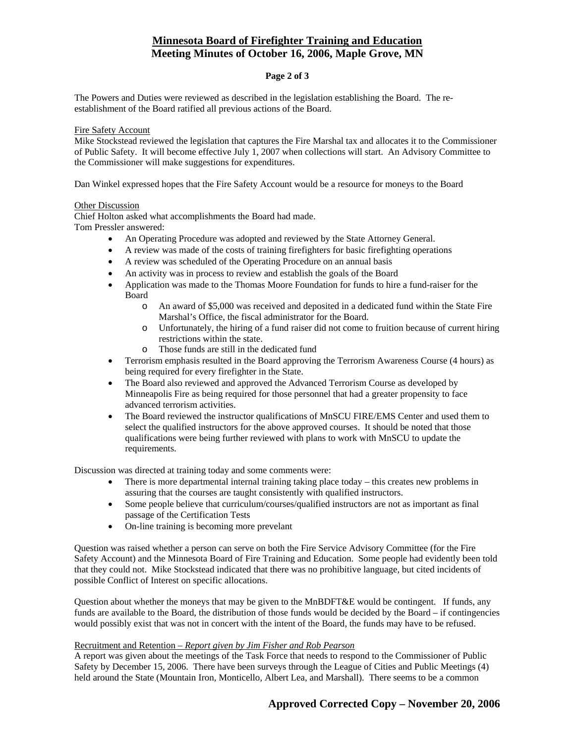# **Minnesota Board of Firefighter Training and Education Meeting Minutes of October 16, 2006, Maple Grove, MN**

## **Page 2 of 3**

The Powers and Duties were reviewed as described in the legislation establishing the Board. The reestablishment of the Board ratified all previous actions of the Board.

### Fire Safety Account

Mike Stockstead reviewed the legislation that captures the Fire Marshal tax and allocates it to the Commissioner of Public Safety. It will become effective July 1, 2007 when collections will start. An Advisory Committee to the Commissioner will make suggestions for expenditures.

Dan Winkel expressed hopes that the Fire Safety Account would be a resource for moneys to the Board

#### Other Discussion

Chief Holton asked what accomplishments the Board had made.

Tom Pressler answered:

- An Operating Procedure was adopted and reviewed by the State Attorney General.
- A review was made of the costs of training firefighters for basic firefighting operations
- A review was scheduled of the Operating Procedure on an annual basis
- An activity was in process to review and establish the goals of the Board
- Application was made to the Thomas Moore Foundation for funds to hire a fund-raiser for the Board
	- o An award of \$5,000 was received and deposited in a dedicated fund within the State Fire Marshal's Office, the fiscal administrator for the Board.
	- o Unfortunately, the hiring of a fund raiser did not come to fruition because of current hiring restrictions within the state.
	- o Those funds are still in the dedicated fund
- Terrorism emphasis resulted in the Board approving the Terrorism Awareness Course (4 hours) as being required for every firefighter in the State.
- The Board also reviewed and approved the Advanced Terrorism Course as developed by Minneapolis Fire as being required for those personnel that had a greater propensity to face advanced terrorism activities.
- The Board reviewed the instructor qualifications of MnSCU FIRE/EMS Center and used them to select the qualified instructors for the above approved courses. It should be noted that those qualifications were being further reviewed with plans to work with MnSCU to update the requirements.

Discussion was directed at training today and some comments were:

- There is more departmental internal training taking place today this creates new problems in assuring that the courses are taught consistently with qualified instructors.
- Some people believe that curriculum/courses/qualified instructors are not as important as final passage of the Certification Tests
- On-line training is becoming more prevelant

Question was raised whether a person can serve on both the Fire Service Advisory Committee (for the Fire Safety Account) and the Minnesota Board of Fire Training and Education. Some people had evidently been told that they could not. Mike Stockstead indicated that there was no prohibitive language, but cited incidents of possible Conflict of Interest on specific allocations.

Question about whether the moneys that may be given to the MnBDFT&E would be contingent. If funds, any funds are available to the Board, the distribution of those funds would be decided by the Board – if contingencies would possibly exist that was not in concert with the intent of the Board, the funds may have to be refused.

### Recruitment and Retention *– Report given by Jim Fisher and Rob Pearson*

A report was given about the meetings of the Task Force that needs to respond to the Commissioner of Public Safety by December 15, 2006. There have been surveys through the League of Cities and Public Meetings (4) held around the State (Mountain Iron, Monticello, Albert Lea, and Marshall). There seems to be a common

## **Approved Corrected Copy – November 20, 2006**